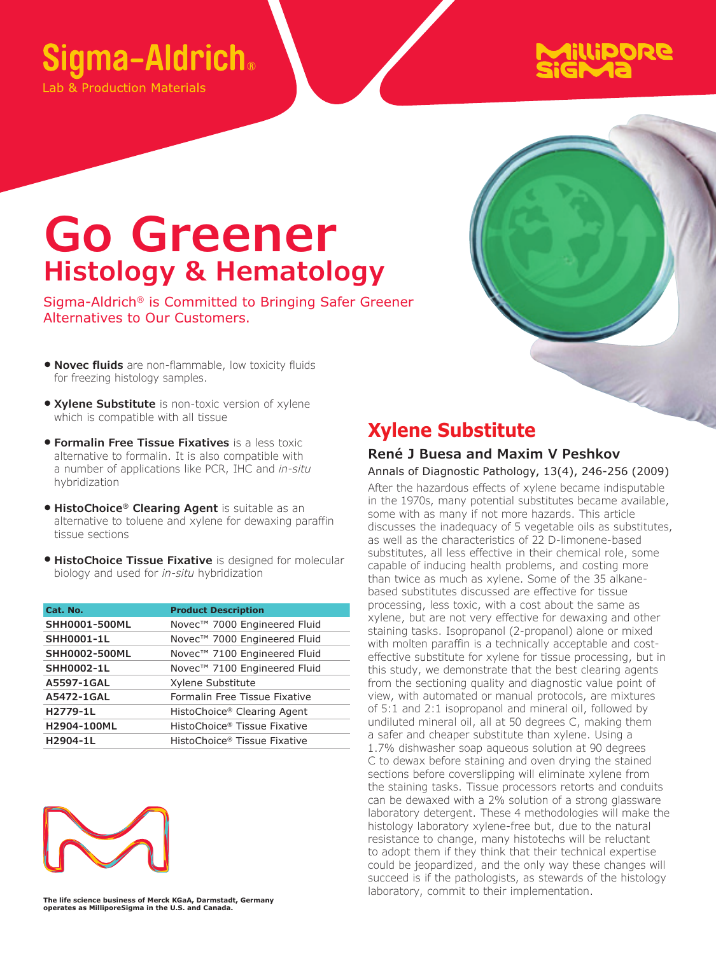## Sigma-Aldrich®

ab & Production Materials

# **AillipoRe**

## **Go Greener Histology & Hematology**

Sigma-Aldrich® is Committed to Bringing Safer Greener Alternatives to Our Customers.

- **Novec fluids** are non-flammable, low toxicity fluids for freezing histology samples.
- **Xylene Substitute** is non-toxic version of xylene which is compatible with all tissue
- **Formalin Free Tissue Fixatives** is a less toxic alternative to formalin. It is also compatible with a number of applications like PCR, IHC and *in-situ* hybridization
- **HistoChoice® Clearing Agent** is suitable as an alternative to toluene and xylene for dewaxing paraffin tissue sections
- **HistoChoice Tissue Fixative** is designed for molecular biology and used for *in-situ* hybridization

| Cat. No.             | <b>Product Description</b>    |
|----------------------|-------------------------------|
| <b>SHH0001-500ML</b> | Novec™ 7000 Engineered Fluid  |
| <b>SHH0001-1L</b>    | Novec™ 7000 Engineered Fluid  |
| SHH0002-500ML        | Novec™ 7100 Engineered Fluid  |
| <b>SHH0002-1L</b>    | Novec™ 7100 Engineered Fluid  |
| A5597-1GAL           | Xylene Substitute             |
| A5472-1GAL           | Formalin Free Tissue Fixative |
| H2779-1L             | HistoChoice® Clearing Agent   |
| H2904-100ML          | HistoChoice® Tissue Fixative  |
| H2904-1L             | HistoChoice® Tissue Fixative  |



## **Xylene Substitute**

#### **René J Buesa and Maxim V Peshkov**

Annals of Diagnostic Pathology, 13(4), 246-256 (2009) After the hazardous effects of xylene became indisputable in the 1970s, many potential substitutes became available, some with as many if not more hazards. This article discusses the inadequacy of 5 vegetable oils as substitutes, as well as the characteristics of 22 D-limonene-based substitutes, all less effective in their chemical role, some capable of inducing health problems, and costing more than twice as much as xylene. Some of the 35 alkanebased substitutes discussed are effective for tissue processing, less toxic, with a cost about the same as xylene, but are not very effective for dewaxing and other staining tasks. Isopropanol (2-propanol) alone or mixed with molten paraffin is a technically acceptable and costeffective substitute for xylene for tissue processing, but in this study, we demonstrate that the best clearing agents from the sectioning quality and diagnostic value point of view, with automated or manual protocols, are mixtures of 5:1 and 2:1 isopropanol and mineral oil, followed by undiluted mineral oil, all at 50 degrees C, making them a safer and cheaper substitute than xylene. Using a 1.7% dishwasher soap aqueous solution at 90 degrees C to dewax before staining and oven drying the stained sections before coverslipping will eliminate xylene from the staining tasks. Tissue processors retorts and conduits can be dewaxed with a 2% solution of a strong glassware laboratory detergent. These 4 methodologies will make the histology laboratory xylene-free but, due to the natural resistance to change, many histotechs will be reluctant to adopt them if they think that their technical expertise could be jeopardized, and the only way these changes will succeed is if the pathologists, as stewards of the histology laboratory, commit to their implementation.